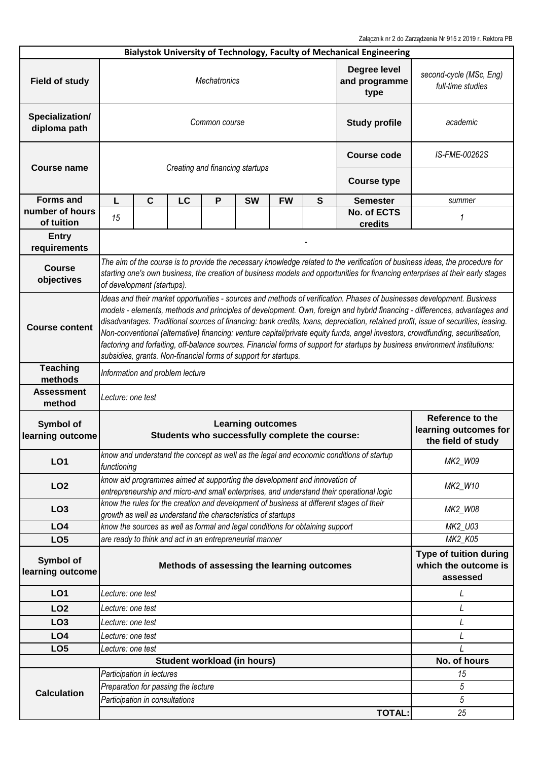Załącznik nr 2 do Zarządzenia Nr 915 z 2019 r. Rektora PB

| Bialystok University of Technology, Faculty of Mechanical Engineering |                                                                                                                                                                                                                                                                                                                                                                                                                                                                                                                                                                                                                                                                                                                                |                                |                                     |   |                                                                               |                    |   |                                                                                          |                                                                 |  |
|-----------------------------------------------------------------------|--------------------------------------------------------------------------------------------------------------------------------------------------------------------------------------------------------------------------------------------------------------------------------------------------------------------------------------------------------------------------------------------------------------------------------------------------------------------------------------------------------------------------------------------------------------------------------------------------------------------------------------------------------------------------------------------------------------------------------|--------------------------------|-------------------------------------|---|-------------------------------------------------------------------------------|--------------------|---|------------------------------------------------------------------------------------------|-----------------------------------------------------------------|--|
| <b>Field of study</b>                                                 | Degree level<br><b>Mechatronics</b><br>and programme<br>type                                                                                                                                                                                                                                                                                                                                                                                                                                                                                                                                                                                                                                                                   |                                |                                     |   |                                                                               |                    |   |                                                                                          | second-cycle (MSc, Eng)<br>full-time studies                    |  |
| Specialization/<br>diploma path                                       | <b>Study profile</b><br>Common course                                                                                                                                                                                                                                                                                                                                                                                                                                                                                                                                                                                                                                                                                          |                                |                                     |   |                                                                               |                    |   |                                                                                          | academic                                                        |  |
| <b>Course name</b>                                                    |                                                                                                                                                                                                                                                                                                                                                                                                                                                                                                                                                                                                                                                                                                                                |                                | Creating and financing startups     |   | <b>Course code</b>                                                            | IS-FME-00262S      |   |                                                                                          |                                                                 |  |
|                                                                       |                                                                                                                                                                                                                                                                                                                                                                                                                                                                                                                                                                                                                                                                                                                                |                                |                                     |   |                                                                               | <b>Course type</b> |   |                                                                                          |                                                                 |  |
| <b>Forms and</b>                                                      | L                                                                                                                                                                                                                                                                                                                                                                                                                                                                                                                                                                                                                                                                                                                              | $\mathbf C$                    | LC                                  | P | <b>SW</b>                                                                     | <b>FW</b>          | S | <b>Semester</b>                                                                          | summer                                                          |  |
| number of hours<br>of tuition                                         | 15                                                                                                                                                                                                                                                                                                                                                                                                                                                                                                                                                                                                                                                                                                                             |                                |                                     |   |                                                                               |                    |   | No. of ECTS<br>credits                                                                   | 1                                                               |  |
| <b>Entry</b><br>requirements                                          |                                                                                                                                                                                                                                                                                                                                                                                                                                                                                                                                                                                                                                                                                                                                |                                |                                     |   |                                                                               |                    |   |                                                                                          |                                                                 |  |
| <b>Course</b><br>objectives                                           | The aim of the course is to provide the necessary knowledge related to the verification of business ideas, the procedure for<br>starting one's own business, the creation of business models and opportunities for financing enterprises at their early stages<br>of development (startups).                                                                                                                                                                                                                                                                                                                                                                                                                                   |                                |                                     |   |                                                                               |                    |   |                                                                                          |                                                                 |  |
| <b>Course content</b>                                                 | Ideas and their market opportunities - sources and methods of verification. Phases of businesses development. Business<br>models - elements, methods and principles of development. Own, foreign and hybrid financing - differences, advantages and<br>disadvantages. Traditional sources of financing: bank credits, loans, depreciation, retained profit, issue of securities, leasing.<br>Non-conventional (alternative) financing: venture capital/private equity funds, angel investors, crowdfunding, securitisation,<br>factoring and forfaiting, off-balance sources. Financial forms of support for startups by business environment institutions:<br>subsidies, grants. Non-financial forms of support for startups. |                                |                                     |   |                                                                               |                    |   |                                                                                          |                                                                 |  |
| <b>Teaching</b><br>methods                                            | Information and problem lecture                                                                                                                                                                                                                                                                                                                                                                                                                                                                                                                                                                                                                                                                                                |                                |                                     |   |                                                                               |                    |   |                                                                                          |                                                                 |  |
|                                                                       | Lecture: one test                                                                                                                                                                                                                                                                                                                                                                                                                                                                                                                                                                                                                                                                                                              |                                |                                     |   |                                                                               |                    |   |                                                                                          |                                                                 |  |
| <b>Assessment</b><br>method                                           |                                                                                                                                                                                                                                                                                                                                                                                                                                                                                                                                                                                                                                                                                                                                |                                |                                     |   |                                                                               |                    |   |                                                                                          |                                                                 |  |
| Symbol of<br>learning outcome                                         |                                                                                                                                                                                                                                                                                                                                                                                                                                                                                                                                                                                                                                                                                                                                |                                |                                     |   | <b>Learning outcomes</b><br>Students who successfully complete the course:    |                    |   |                                                                                          | Reference to the<br>learning outcomes for<br>the field of study |  |
| LO <sub>1</sub>                                                       | functioning                                                                                                                                                                                                                                                                                                                                                                                                                                                                                                                                                                                                                                                                                                                    |                                |                                     |   |                                                                               |                    |   | know and understand the concept as well as the legal and economic conditions of startup  | MK2_W09                                                         |  |
| LO <sub>2</sub>                                                       |                                                                                                                                                                                                                                                                                                                                                                                                                                                                                                                                                                                                                                                                                                                                |                                |                                     |   | know aid programmes aimed at supporting the development and innovation of     |                    |   | entrepreneurship and micro-and small enterprises, and understand their operational logic | MK2_W10                                                         |  |
| LO <sub>3</sub>                                                       |                                                                                                                                                                                                                                                                                                                                                                                                                                                                                                                                                                                                                                                                                                                                |                                |                                     |   | growth as well as understand the characteristics of startups                  |                    |   | know the rules for the creation and development of business at different stages of their | MK2_W08                                                         |  |
| LO <sub>4</sub>                                                       |                                                                                                                                                                                                                                                                                                                                                                                                                                                                                                                                                                                                                                                                                                                                |                                |                                     |   | know the sources as well as formal and legal conditions for obtaining support |                    |   |                                                                                          | MK2_U03                                                         |  |
| LO <sub>5</sub>                                                       |                                                                                                                                                                                                                                                                                                                                                                                                                                                                                                                                                                                                                                                                                                                                |                                |                                     |   | are ready to think and act in an entrepreneurial manner                       |                    |   |                                                                                          | MK2_K05                                                         |  |
| Symbol of<br>learning outcome                                         |                                                                                                                                                                                                                                                                                                                                                                                                                                                                                                                                                                                                                                                                                                                                |                                |                                     |   | Methods of assessing the learning outcomes                                    |                    |   |                                                                                          | Type of tuition during<br>which the outcome is<br>assessed      |  |
| LO <sub>1</sub>                                                       | Lecture: one test                                                                                                                                                                                                                                                                                                                                                                                                                                                                                                                                                                                                                                                                                                              |                                |                                     |   |                                                                               |                    |   |                                                                                          | L                                                               |  |
| LO <sub>2</sub>                                                       | Lecture: one test                                                                                                                                                                                                                                                                                                                                                                                                                                                                                                                                                                                                                                                                                                              |                                |                                     |   |                                                                               |                    |   |                                                                                          | L                                                               |  |
| LO <sub>3</sub>                                                       | Lecture: one test                                                                                                                                                                                                                                                                                                                                                                                                                                                                                                                                                                                                                                                                                                              |                                |                                     |   |                                                                               |                    |   |                                                                                          |                                                                 |  |
| LO <sub>4</sub>                                                       | Lecture: one test                                                                                                                                                                                                                                                                                                                                                                                                                                                                                                                                                                                                                                                                                                              |                                |                                     |   |                                                                               |                    |   |                                                                                          |                                                                 |  |
| LO <sub>5</sub>                                                       | Lecture: one test                                                                                                                                                                                                                                                                                                                                                                                                                                                                                                                                                                                                                                                                                                              |                                |                                     |   |                                                                               |                    |   |                                                                                          |                                                                 |  |
|                                                                       |                                                                                                                                                                                                                                                                                                                                                                                                                                                                                                                                                                                                                                                                                                                                |                                |                                     |   | <b>Student workload (in hours)</b>                                            |                    |   |                                                                                          | No. of hours                                                    |  |
|                                                                       |                                                                                                                                                                                                                                                                                                                                                                                                                                                                                                                                                                                                                                                                                                                                | Participation in lectures      |                                     |   |                                                                               |                    |   |                                                                                          | 15                                                              |  |
|                                                                       |                                                                                                                                                                                                                                                                                                                                                                                                                                                                                                                                                                                                                                                                                                                                |                                | Preparation for passing the lecture |   |                                                                               |                    |   |                                                                                          | 5                                                               |  |
| <b>Calculation</b>                                                    |                                                                                                                                                                                                                                                                                                                                                                                                                                                                                                                                                                                                                                                                                                                                | Participation in consultations |                                     |   |                                                                               |                    |   |                                                                                          | 5                                                               |  |